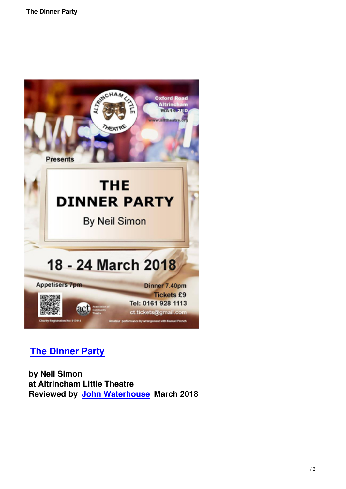

## **The Dinner Party**

 **by Neil Simon [at Altrincham Little T](the-dinner-party.html)heatre Reviewed by John Waterhouse March 2018**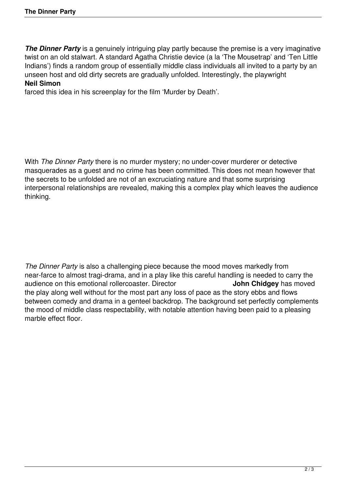**The Dinner Party** is a genuinely intriguing play partly because the premise is a very imaginative twist on an old stalwart. A standard Agatha Christie device (a la 'The Mousetrap' and 'Ten Little Indians') finds a random group of essentially middle class individuals all invited to a party by an unseen host and old dirty secrets are gradually unfolded. Interestingly, the playwright **Neil Simon**

farced this idea in his screenplay for the film 'Murder by Death'.

With *The Dinner Party* there is no murder mystery; no under-cover murderer or detective masquerades as a guest and no crime has been committed. This does not mean however that the secrets to be unfolded are not of an excruciating nature and that some surprising interpersonal relationships are revealed, making this a complex play which leaves the audience thinking.

*The Dinner Party* is also a challenging piece because the mood moves markedly from near-farce to almost tragi-drama, and in a play like this careful handling is needed to carry the audience on this emotional rollercoaster. Director audience on this emotional rollercoaster. Director the play along well without for the most part any loss of pace as the story ebbs and flows between comedy and drama in a genteel backdrop. The background set perfectly complements the mood of middle class respectability, with notable attention having been paid to a pleasing marble effect floor.